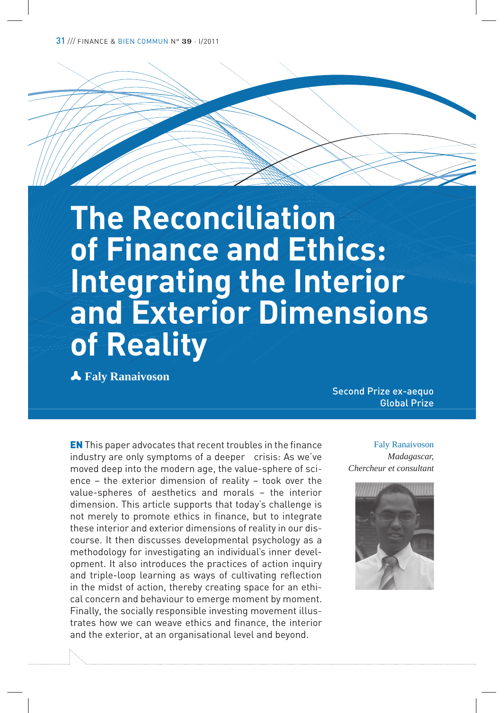31 /// FINANCE & BIEN COMMUN N° 39 · I/2011

# **The Reconciliation of Finance and Ethics: Integrating the Interior and Exterior Dimensions of Reality**

p **Faly Ranaivoson**

Second Prize ex-aequo Global Prize

EN This paper advocates that recent troubles in the finance industry are only symptoms of a deeper crisis: As we've moved deep into the modern age, the value-sphere of science – the exterior dimension of reality – took over the value-spheres of aesthetics and morals – the interior dimension. This article supports that today's challenge is not merely to promote ethics in finance, but to integrate these interior and exterior dimensions of reality in our discourse. It then discusses developmental psychology as a methodology for investigating an individual's inner development. It also introduces the practices of action inquiry and triple-loop learning as ways of cultivating reflection in the midst of action, thereby creating space for an ethical concern and behaviour to emerge moment by moment. Finally, the socially responsible investing movement illustrates how we can weave ethics and finance, the interior and the exterior, at an organisational level and beyond.

Faly Ranaivoson *Madagascar, Chercheur et consultant*

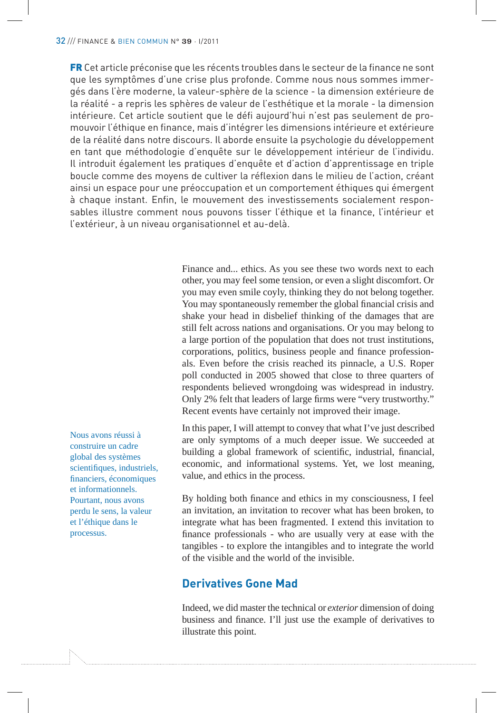FR Cet article préconise que les récents troubles dans le secteur de la finance ne sont que les symptômes d'une crise plus profonde. Comme nous nous sommes immergés dans l'ère moderne, la valeur-sphère de la science - la dimension extérieure de la réalité - a repris les sphères de valeur de l'esthétique et la morale - la dimension intérieure. Cet article soutient que le défi aujourd'hui n'est pas seulement de promouvoir l'éthique en finance, mais d'intégrer les dimensions intérieure et extérieure de la réalité dans notre discours. Il aborde ensuite la psychologie du développement en tant que méthodologie d'enquête sur le développement intérieur de l'individu. Il introduit également les pratiques d'enquête et d'action d'apprentissage en triple boucle comme des moyens de cultiver la réflexion dans le milieu de l'action, créant ainsi un espace pour une préoccupation et un comportement éthiques qui émergent à chaque instant. Enfin, le mouvement des investissements socialement responsables illustre comment nous pouvons tisser l'éthique et la finance, l'intérieur et l'extérieur, à un niveau organisationnel et au-delà.

> Finance and... ethics. As you see these two words next to each other, you may feel some tension, or even a slight discomfort. Or you may even smile coyly, thinking they do not belong together. You may spontaneously remember the global financial crisis and shake your head in disbelief thinking of the damages that are still felt across nations and organisations. Or you may belong to a large portion of the population that does not trust institutions, corporations, politics, business people and finance professionals. Even before the crisis reached its pinnacle, a U.S. Roper poll conducted in 2005 showed that close to three quarters of respondents believed wrongdoing was widespread in industry. Only 2% felt that leaders of large firms were "very trustworthy." Recent events have certainly not improved their image.

> In this paper, I will attempt to convey that what I've just described are only symptoms of a much deeper issue. We succeeded at building a global framework of scientific, industrial, financial, economic, and informational systems. Yet, we lost meaning, value, and ethics in the process.

> By holding both finance and ethics in my consciousness, I feel an invitation, an invitation to recover what has been broken, to integrate what has been fragmented. I extend this invitation to finance professionals - who are usually very at ease with the tangibles - to explore the intangibles and to integrate the world of the visible and the world of the invisible.

## **Derivatives Gone Mad**

Indeed, we did master the technical or *exterior* dimension of doing business and finance. I'll just use the example of derivatives to illustrate this point.

Nous avons réussi à construire un cadre global des systèmes scientifiques, industriels, financiers, économiques et informationnels. Pourtant, nous avons perdu le sens, la valeur et l'éthique dans le processus.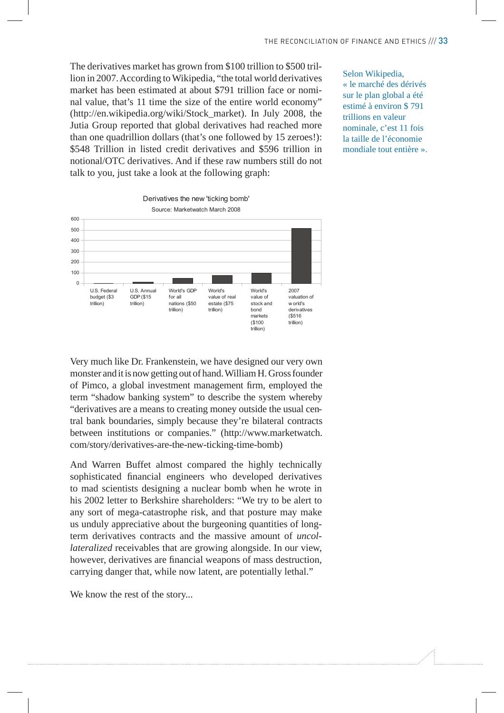The derivatives market has grown from \$100 trillion to \$500 trillion in 2007. According to Wikipedia, "the total world derivatives market has been estimated at about \$791 trillion face or nominal value, that's 11 time the size of the entire world economy" (http://en.wikipedia.org/wiki/Stock\_market). In July 2008, the Jutia Group reported that global derivatives had reached more than one quadrillion dollars (that's one followed by 15 zeroes!): \$548 Trillion in listed credit derivatives and \$596 trillion in notional/OTC derivatives. And if these raw numbers still do not talk to you, just take a look at the following graph:

Selon Wikipedia, « le marché des dérivés sur le plan global a été estimé à environ \$ 791 trillions en valeur nominale, c'est 11 fois la taille de l'économie mondiale tout entière ».



Very much like Dr. Frankenstein, we have designed our very own monster and it is now getting out of hand. William H. Gross founder of Pimco, a global investment management firm, employed the term "shadow banking system" to describe the system whereby "derivatives are a means to creating money outside the usual central bank boundaries, simply because they're bilateral contracts between institutions or companies." (http://www.marketwatch. com/story/derivatives-are-the-new-ticking-time-bomb)

And Warren Buffet almost compared the highly technically sophisticated financial engineers who developed derivatives to mad scientists designing a nuclear bomb when he wrote in his 2002 letter to Berkshire shareholders: "We try to be alert to any sort of mega-catastrophe risk, and that posture may make us unduly appreciative about the burgeoning quantities of longterm derivatives contracts and the massive amount of *uncollateralized* receivables that are growing alongside. In our view, however, derivatives are financial weapons of mass destruction, carrying danger that, while now latent, are potentially lethal."

We know the rest of the story...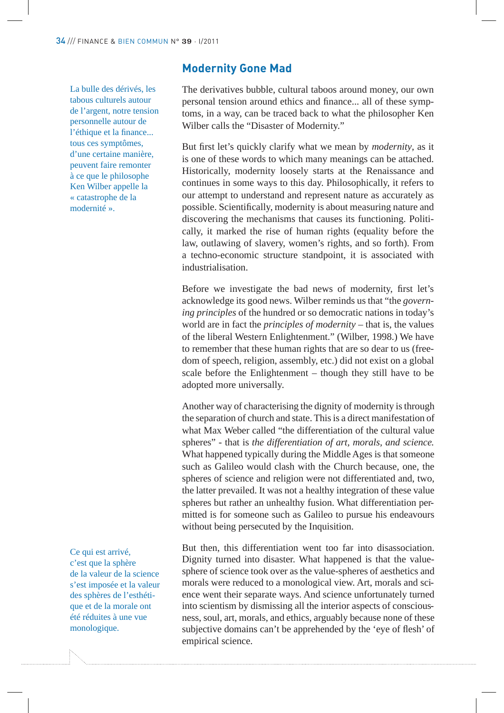La bulle des dérivés, les tabous culturels autour de l'argent, notre tension personnelle autour de l'éthique et la finance... tous ces symptômes, d'une certaine manière, peuvent faire remonter à ce que le philosophe Ken Wilber appelle la « catastrophe de la modernité ».

Ce qui est arrivé, c'est que la sphère de la valeur de la science s'est imposée et la valeur des sphères de l'esthétique et de la morale ont été réduites à une vue monologique.

#### **Modernity Gone Mad**

The derivatives bubble, cultural taboos around money, our own personal tension around ethics and finance... all of these symptoms, in a way, can be traced back to what the philosopher Ken Wilber calls the "Disaster of Modernity."

But first let's quickly clarify what we mean by *modernity*, as it is one of these words to which many meanings can be attached. Historically, modernity loosely starts at the Renaissance and continues in some ways to this day. Philosophically, it refers to our attempt to understand and represent nature as accurately as possible. Scientifically, modernity is about measuring nature and discovering the mechanisms that causes its functioning. Politically, it marked the rise of human rights (equality before the law, outlawing of slavery, women's rights, and so forth). From a techno-economic structure standpoint, it is associated with industrialisation.

Before we investigate the bad news of modernity, first let's acknowledge its good news. Wilber reminds us that "the *governing principles* of the hundred or so democratic nations in today's world are in fact the *principles of modernity* – that is, the values of the liberal Western Enlightenment." (Wilber, 1998.) We have to remember that these human rights that are so dear to us (freedom of speech, religion, assembly, etc.) did not exist on a global scale before the Enlightenment – though they still have to be adopted more universally.

Another way of characterising the dignity of modernity is through the separation of church and state. This is a direct manifestation of what Max Weber called "the differentiation of the cultural value spheres" - that is *the differentiation of art, morals, and science*. What happened typically during the Middle Ages is that someone such as Galileo would clash with the Church because, one, the spheres of science and religion were not differentiated and, two, the latter prevailed. It was not a healthy integration of these value spheres but rather an unhealthy fusion. What differentiation permitted is for someone such as Galileo to pursue his endeavours without being persecuted by the Inquisition.

But then, this differentiation went too far into disassociation. Dignity turned into disaster. What happened is that the valuesphere of science took over as the value-spheres of aesthetics and morals were reduced to a monological view. Art, morals and science went their separate ways. And science unfortunately turned into scientism by dismissing all the interior aspects of consciousness, soul, art, morals, and ethics, arguably because none of these subjective domains can't be apprehended by the 'eye of flesh' of empirical science.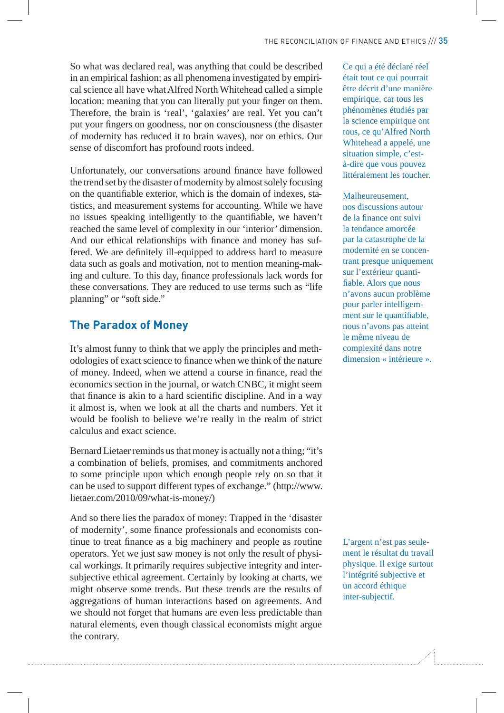So what was declared real, was anything that could be described in an empirical fashion; as all phenomena investigated by empirical science all have what Alfred North Whitehead called a simple location: meaning that you can literally put your finger on them. Therefore, the brain is 'real', 'galaxies' are real. Yet you can't put your fingers on goodness, nor on consciousness (the disaster of modernity has reduced it to brain waves), nor on ethics. Our sense of discomfort has profound roots indeed.

Unfortunately, our conversations around finance have followed the trend set by the disaster of modernity by almost solely focusing on the quantifiable exterior, which is the domain of indexes, statistics, and measurement systems for accounting. While we have no issues speaking intelligently to the quantifiable, we haven't reached the same level of complexity in our 'interior' dimension. And our ethical relationships with finance and money has suffered. We are definitely ill-equipped to address hard to measure data such as goals and motivation, not to mention meaning-making and culture. To this day, finance professionals lack words for these conversations. They are reduced to use terms such as "life planning" or "soft side."

#### **The Paradox of Money**

It's almost funny to think that we apply the principles and methodologies of exact science to finance when we think of the nature of money. Indeed, when we attend a course in finance, read the economics section in the journal, or watch CNBC, it might seem that finance is akin to a hard scientific discipline. And in a way it almost is, when we look at all the charts and numbers. Yet it would be foolish to believe we're really in the realm of strict calculus and exact science.

Bernard Lietaer reminds us that money is actually not a thing; "it's a combination of beliefs, promises, and commitments anchored to some principle upon which enough people rely on so that it can be used to support different types of exchange." (http://www. lietaer.com/2010/09/what-is-money/)

And so there lies the paradox of money: Trapped in the 'disaster of modernity', some finance professionals and economists continue to treat finance as a big machinery and people as routine operators. Yet we just saw money is not only the result of physical workings. It primarily requires subjective integrity and intersubjective ethical agreement. Certainly by looking at charts, we might observe some trends. But these trends are the results of aggregations of human interactions based on agreements. And we should not forget that humans are even less predictable than natural elements, even though classical economists might argue the contrary.

Ce qui a été déclaré réel était tout ce qui pourrait être décrit d'une manière empirique, car tous les phénomènes étudiés par la science empirique ont tous, ce qu'Alfred North Whitehead a appelé, une situation simple, c'està-dire que vous pouvez littéralement les toucher.

#### Malheureusement,

nos discussions autour de la finance ont suivi la tendance amorcée par la catastrophe de la modernité en se concentrant presque uniquement sur l'extérieur quanti fiable. Alors que nous n'avons aucun problème pour parler intelligemment sur le quantifiable, nous n'avons pas atteint le même niveau de complexité dans notre dimension « intérieure ».

L'argent n'est pas seulement le résultat du travail physique. Il exige surtout l'intégrité subjective et un accord éthique inter-subjectif.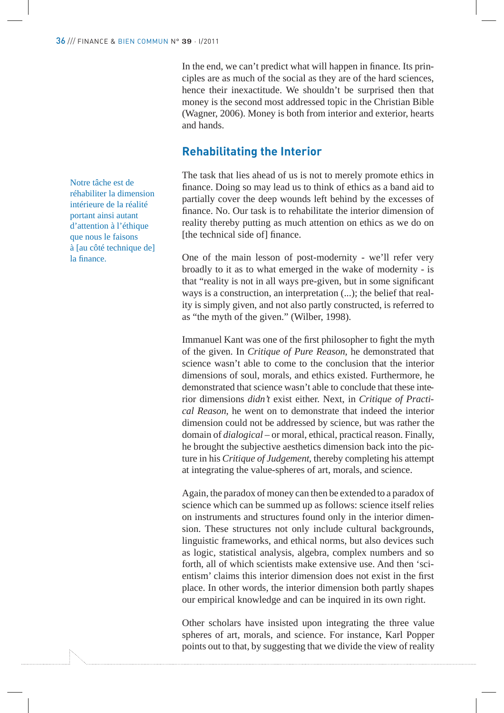In the end, we can't predict what will happen in finance. Its principles are as much of the social as they are of the hard sciences, hence their inexactitude. We shouldn't be surprised then that money is the second most addressed topic in the Christian Bible (Wagner, 2006). Money is both from interior and exterior, hearts and hands.

#### **Rehabilitating the Interior**

The task that lies ahead of us is not to merely promote ethics in finance. Doing so may lead us to think of ethics as a band aid to partially cover the deep wounds left behind by the excesses of finance. No. Our task is to rehabilitate the interior dimension of reality thereby putting as much attention on ethics as we do on [the technical side of] finance.

One of the main lesson of post-modernity - we'll refer very broadly to it as to what emerged in the wake of modernity - is that "reality is not in all ways pre-given, but in some significant ways is a construction, an interpretation (...); the belief that reality is simply given, and not also partly constructed, is referred to as "the myth of the given." (Wilber, 1998).

Immanuel Kant was one of the first philosopher to fight the myth of the given. In *Critique of Pure Reason*, he demonstrated that science wasn't able to come to the conclusion that the interior dimensions of soul, morals, and ethics existed. Furthermore, he demonstrated that science wasn't able to conclude that these interior dimensions *didn't* exist either. Next, in *Critique of Practical Reason*, he went on to demonstrate that indeed the interior dimension could not be addressed by science, but was rather the domain of *dialogical* – or moral, ethical, practical reason. Finally, he brought the subjective aesthetics dimension back into the picture in his *Critique of Judgement*, thereby completing his attempt at integrating the value-spheres of art, morals, and science.

Again, the paradox of money can then be extended to a paradox of science which can be summed up as follows: science itself relies on instruments and structures found only in the interior dimension. These structures not only include cultural backgrounds, linguistic frameworks, and ethical norms, but also devices such as logic, statistical analysis, algebra, complex numbers and so forth, all of which scientists make extensive use. And then 'scientism' claims this interior dimension does not exist in the first place. In other words, the interior dimension both partly shapes our empirical knowledge and can be inquired in its own right.

Other scholars have insisted upon integrating the three value spheres of art, morals, and science. For instance, Karl Popper points out to that, by suggesting that we divide the view of reality

Notre tâche est de réhabiliter la dimension intérieure de la réalité portant ainsi autant d'attention à l'éthique que nous le faisons à [au côté technique de] la finance.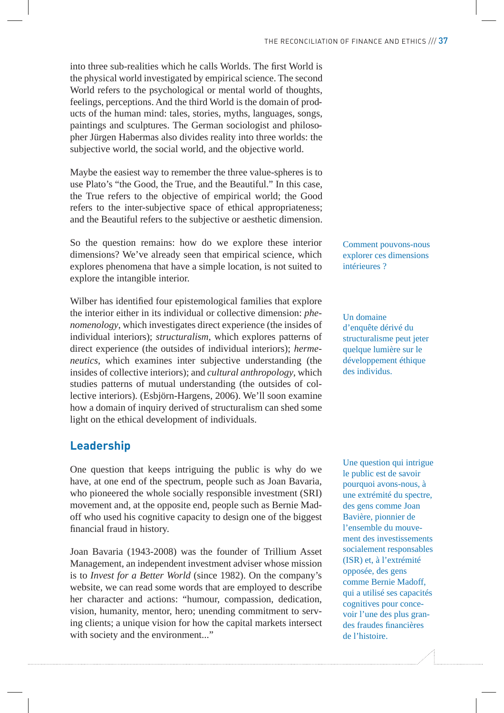into three sub-realities which he calls Worlds. The first World is the physical world investigated by empirical science. The second World refers to the psychological or mental world of thoughts, feelings, perceptions. And the third World is the domain of products of the human mind: tales, stories, myths, languages, songs, paintings and sculptures. The German sociologist and philosopher Jürgen Habermas also divides reality into three worlds: the subjective world, the social world, and the objective world.

Maybe the easiest way to remember the three value-spheres is to use Plato's "the Good, the True, and the Beautiful." In this case, the True refers to the objective of empirical world; the Good refers to the inter-subjective space of ethical appropriateness; and the Beautiful refers to the subjective or aesthetic dimension.

So the question remains: how do we explore these interior dimensions? We've already seen that empirical science, which explores phenomena that have a simple location, is not suited to explore the intangible interior.

Wilber has identified four epistemological families that explore the interior either in its individual or collective dimension: *phenomenology*, which investigates direct experience (the insides of individual interiors); *structuralism*, which explores patterns of direct experience (the outsides of individual interiors); *hermeneutics*, which examines inter subjective understanding (the insides of collective interiors); and *cultural anthropology*, which studies patterns of mutual understanding (the outsides of collective interiors). (Esbjörn-Hargens, 2006). We'll soon examine how a domain of inquiry derived of structuralism can shed some light on the ethical development of individuals.

## **Leadership**

One question that keeps intriguing the public is why do we have, at one end of the spectrum, people such as Joan Bavaria, who pioneered the whole socially responsible investment (SRI) movement and, at the opposite end, people such as Bernie Madoff who used his cognitive capacity to design one of the biggest financial fraud in history.

Joan Bavaria (1943-2008) was the founder of Trillium Asset Management, an independent investment adviser whose mission is to *Invest for a Better World* (since 1982). On the company's website, we can read some words that are employed to describe her character and actions: "humour, compassion, dedication, vision, humanity, mentor, hero; unending commitment to serving clients; a unique vision for how the capital markets intersect with society and the environment..."

Comment pouvons-nous explorer ces dimensions intérieures ?

Un domaine d'enquête dérivé du structuralisme peut jeter quelque lumière sur le développement éthique des individus.

Une question qui intrigue le public est de savoir pourquoi avons-nous, à une extrémité du spectre, des gens comme Joan Bavière, pionnier de l'ensemble du mouvement des investissements socialement responsables (ISR) et, à l'extrémité opposée, des gens comme Bernie Madoff, qui a utilisé ses capacités cognitives pour concevoir l'une des plus grandes fraudes financières de l'histoire.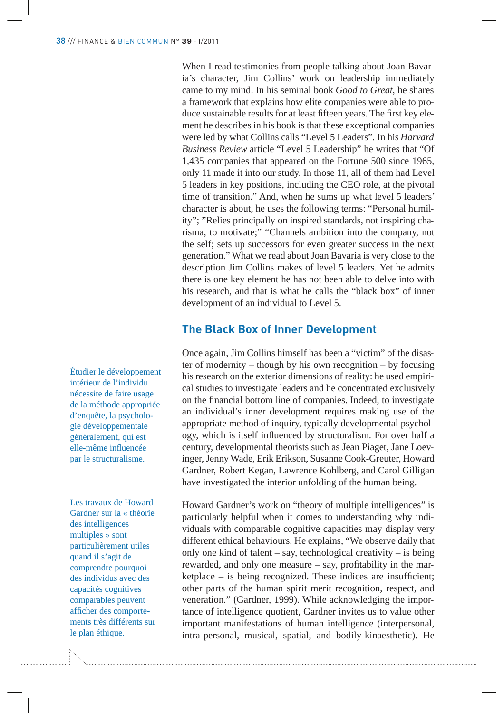When I read testimonies from people talking about Joan Bavaria's character, Jim Collins' work on leadership immediately came to my mind. In his seminal book *Good to Great*, he shares a framework that explains how elite companies were able to produce sustainable results for at least fifteen years. The first key element he describes in his book is that these exceptional companies were led by what Collins calls "Level 5 Leaders". In his *Harvard Business Review* article "Level 5 Leadership" he writes that "Of 1,435 companies that appeared on the Fortune 500 since 1965, only 11 made it into our study. In those 11, all of them had Level 5 leaders in key positions, including the CEO role, at the pivotal time of transition." And, when he sums up what level 5 leaders' character is about, he uses the following terms: "Personal humility"; "Relies principally on inspired standards, not inspiring charisma, to motivate;" "Channels ambition into the company, not the self; sets up successors for even greater success in the next generation." What we read about Joan Bavaria is very close to the description Jim Collins makes of level 5 leaders. Yet he admits there is one key element he has not been able to delve into with his research, and that is what he calls the "black box" of inner development of an individual to Level 5.

#### **The Black Box of Inner Development**

Once again, Jim Collins himself has been a "victim" of the disaster of modernity – though by his own recognition – by focusing his research on the exterior dimensions of reality: he used empirical studies to investigate leaders and he concentrated exclusively on the financial bottom line of companies. Indeed, to investigate an individual's inner development requires making use of the appropriate method of inquiry, typically developmental psychology, which is itself influenced by structuralism. For over half a century, developmental theorists such as Jean Piaget, Jane Loevinger, Jenny Wade, Erik Erikson, Susanne Cook-Greuter, Howard Gardner, Robert Kegan, Lawrence Kohlberg, and Carol Gilligan have investigated the interior unfolding of the human being.

Howard Gardner's work on "theory of multiple intelligences" is particularly helpful when it comes to understanding why individuals with comparable cognitive capacities may display very different ethical behaviours. He explains, "We observe daily that only one kind of talent – say, technological creativity – is being rewarded, and only one measure  $-$  say, profitability in the mar $ketplace - is being recognized. These indices are insufficient;$ other parts of the human spirit merit recognition, respect, and veneration." (Gardner, 1999). While acknowledging the importance of intelligence quotient, Gardner invites us to value other important manifestations of human intelligence (interpersonal, intra-personal, musical, spatial, and bodily-kinaesthetic). He

Étudier le développement intérieur de l'individu nécessite de faire usage de la méthode appropriée d'enquête, la psychologie développementale généralement, qui est elle-même influencée par le structuralisme.

Les travaux de Howard Gardner sur la « théorie des intelligences multiples » sont particulièrement utiles quand il s'agit de comprendre pourquoi des individus avec des capacités cognitives comparables peuvent afficher des comportements très différents sur le plan éthique.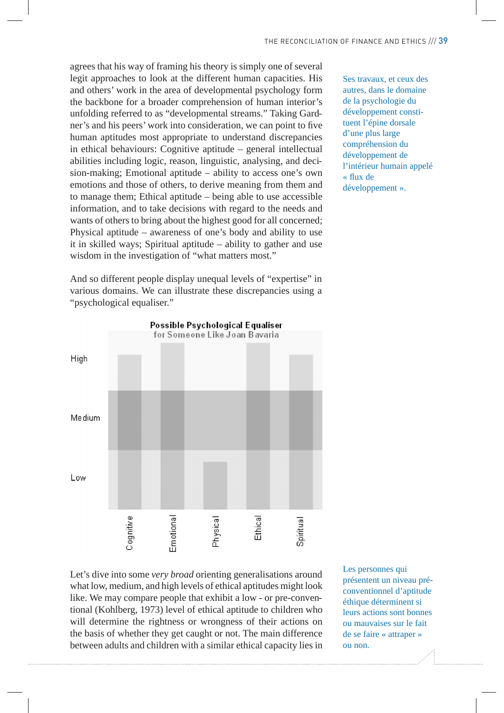agrees that his way of framing his theory is simply one of several legit approaches to look at the different human capacities. His and others' work in the area of developmental psychology form the backbone for a broader comprehension of human interior's unfolding referred to as "developmental streams." Taking Gardner's and his peers' work into consideration, we can point to five human aptitudes most appropriate to understand discrepancies in ethical behaviours: Cognitive aptitude – general intellectual abilities including logic, reason, linguistic, analysing, and decision-making; Emotional aptitude – ability to access one's own emotions and those of others, to derive meaning from them and to manage them; Ethical aptitude – being able to use accessible information, and to take decisions with regard to the needs and wants of others to bring about the highest good for all concerned; Physical aptitude – awareness of one's body and ability to use it in skilled ways; Spiritual aptitude – ability to gather and use wisdom in the investigation of "what matters most."

And so different people display unequal levels of "expertise" in various domains. We can illustrate these discrepancies using a "psychological equaliser."



Let's dive into some *very broad* orienting generalisations around what low, medium, and high levels of ethical aptitudes might look like. We may compare people that exhibit a low - or pre-conventional (Kohlberg, 1973) level of ethical aptitude to children who will determine the rightness or wrongness of their actions on the basis of whether they get caught or not. The main difference between adults and children with a similar ethical capacity lies in Les personnes qui présentent un niveau préconventionnel d'aptitude éthique déterminent si leurs actions sont bonnes ou mauvaises sur le fait de se faire « attraper » ou non.

Ses travaux, et ceux des autres, dans le domaine de la psychologie du développement constituent l'épine dorsale d'une plus large compréhension du développement de l'intérieur humain appelé « flux de développement ».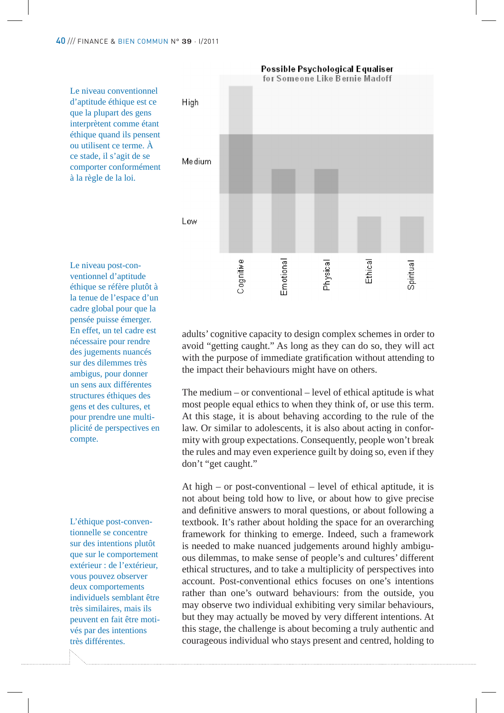

éthique se réfère plutôt à la tenue de l'espace d'un cadre global pour que la pensée puisse émerger. En effet, un tel cadre est nécessaire pour rendre des jugements nuancés sur des dilemmes très ambigus, pour donner un sens aux différentes structures éthiques des gens et des cultures, et pour prendre une multiplicité de perspectives en compte.

L'éthique post-conventionnelle se concentre sur des intentions plutôt que sur le comportement extérieur : de l'extérieur, vous pouvez observer deux comportements individuels semblant être très similaires, mais ils peuvent en fait être motivés par des intentions très différentes.

adults' cognitive capacity to design complex schemes in order to avoid "getting caught." As long as they can do so, they will act with the purpose of immediate gratification without attending to the impact their behaviours might have on others.

**Possible Psychological Equaliser** 

The medium – or conventional – level of ethical aptitude is what most people equal ethics to when they think of, or use this term. At this stage, it is about behaving according to the rule of the law. Or similar to adolescents, it is also about acting in conformity with group expectations. Consequently, people won't break the rules and may even experience guilt by doing so, even if they don't "get caught."

At high – or post-conventional – level of ethical aptitude, it is not about being told how to live, or about how to give precise and definitive answers to moral questions, or about following a textbook. It's rather about holding the space for an overarching framework for thinking to emerge. Indeed, such a framework is needed to make nuanced judgements around highly ambiguous dilemmas, to make sense of people's and cultures' different ethical structures, and to take a multiplicity of perspectives into account. Post-conventional ethics focuses on one's intentions rather than one's outward behaviours: from the outside, you may observe two individual exhibiting very similar behaviours, but they may actually be moved by very different intentions. At this stage, the challenge is about becoming a truly authentic and courageous individual who stays present and centred, holding to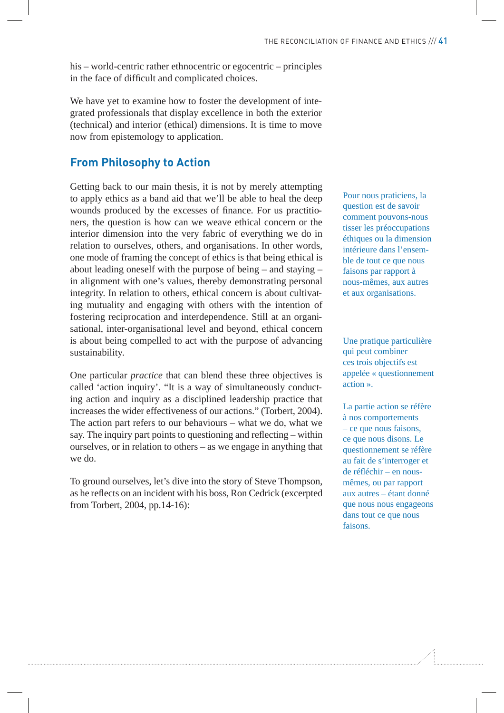his – world-centric rather ethnocentric or egocentric – principles in the face of difficult and complicated choices.

We have yet to examine how to foster the development of integrated professionals that display excellence in both the exterior (technical) and interior (ethical) dimensions. It is time to move now from epistemology to application.

#### **From Philosophy to Action**

Getting back to our main thesis, it is not by merely attempting to apply ethics as a band aid that we'll be able to heal the deep wounds produced by the excesses of finance. For us practitioners, the question is how can we weave ethical concern or the interior dimension into the very fabric of everything we do in relation to ourselves, others, and organisations. In other words, one mode of framing the concept of ethics is that being ethical is about leading oneself with the purpose of being – and staying – in alignment with one's values, thereby demonstrating personal integrity. In relation to others, ethical concern is about cultivating mutuality and engaging with others with the intention of fostering reciprocation and interdependence. Still at an organisational, inter-organisational level and beyond, ethical concern is about being compelled to act with the purpose of advancing sustainability.

One particular *practice* that can blend these three objectives is called 'action inquiry'. "It is a way of simultaneously conducting action and inquiry as a disciplined leadership practice that increases the wider effectiveness of our actions." (Torbert, 2004). The action part refers to our behaviours – what we do, what we say. The inquiry part points to questioning and reflecting  $-$  within ourselves, or in relation to others – as we engage in anything that we do.

To ground ourselves, let's dive into the story of Steve Thompson, as he reflects on an incident with his boss, Ron Cedrick (excerpted from Torbert, 2004, pp.14-16):

Pour nous praticiens, la question est de savoir comment pouvons-nous tisser les préoccupations éthiques ou la dimension intérieure dans l'ensemble de tout ce que nous faisons par rapport à nous-mêmes, aux autres et aux organisations.

Une pratique particulière qui peut combiner ces trois objectifs est appelée « questionnement action ».

La partie action se réfère à nos comportements – ce que nous faisons, ce que nous disons. Le questionnement se réfère au fait de s'interroger et de réfléchir – en nousmêmes, ou par rapport aux autres – étant donné que nous nous engageons dans tout ce que nous faisons.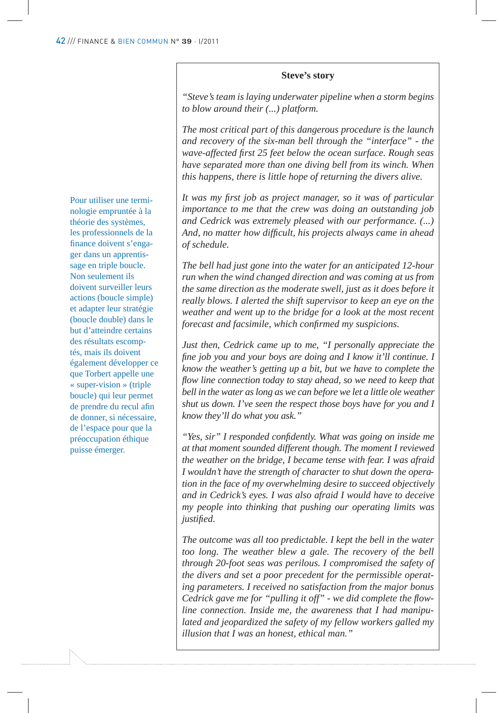#### **Steve's story**

*"Steve's team is laying underwater pipeline when a storm begins to blow around their (...) platform.*

*The most critical part of this dangerous procedure is the launch and recovery of the six-man bell through the "interface" - the wave-affected !rst 25 feet below the ocean surface. Rough seas have separated more than one diving bell from its winch. When this happens, there is little hope of returning the divers alive.*

It was my first job as project manager, so it was of particular *importance to me that the crew was doing an outstanding job and Cedrick was extremely pleased with our performance. (...) And, no matter how dif!cult, his projects always came in ahead of schedule.*

*The bell had just gone into the water for an anticipated 12-hour run when the wind changed direction and was coming at us from the same direction as the moderate swell, just as it does before it really blows. I alerted the shift supervisor to keep an eye on the weather and went up to the bridge for a look at the most recent forecast and facsimile, which confirmed my suspicions.* 

*Just then, Cedrick came up to me, "I personally appreciate the !ne job you and your boys are doing and I know it'll continue. I know the weather's getting up a bit, but we have to complete the*  flow line connection today to stay ahead, so we need to keep that *bell in the water as long as we can before we let a little ole weather shut us down. I've seen the respect those boys have for you and I know they'll do what you ask."*

*"Yes, sir" I responded con!dently. What was going on inside me at that moment sounded different though. The moment I reviewed the weather on the bridge, I became tense with fear. I was afraid I wouldn't have the strength of character to shut down the operation in the face of my overwhelming desire to succeed objectively and in Cedrick's eyes. I was also afraid I would have to deceive my people into thinking that pushing our operating limits was justi!ed.*

*The outcome was all too predictable. I kept the bell in the water too long. The weather blew a gale. The recovery of the bell through 20-foot seas was perilous. I compromised the safety of the divers and set a poor precedent for the permissible operating parameters. I received no satisfaction from the major bonus*  Cedrick gave me for "pulling it off" - we did complete the flow*line connection. Inside me, the awareness that I had manipulated and jeopardized the safety of my fellow workers galled my illusion that I was an honest, ethical man."*

Pour utiliser une terminologie empruntée à la théorie des systèmes, les professionnels de la finance doivent s'engager dans un apprentissage en triple boucle. Non seulement ils doivent surveiller leurs actions (boucle simple) et adapter leur stratégie (boucle double) dans le but d'atteindre certains des résultats escomptés, mais ils doivent également développer ce que Torbert appelle une « super-vision » (triple boucle) qui leur permet de prendre du recul afin de donner, si nécessaire, de l'espace pour que la préoccupation éthique puisse émerger.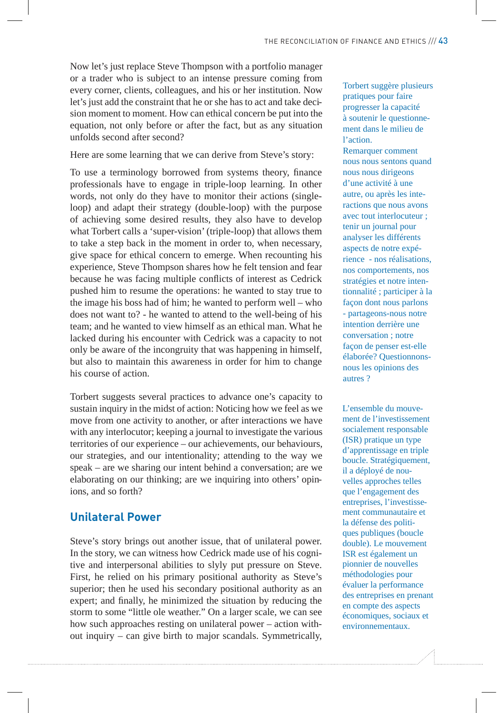Now let's just replace Steve Thompson with a portfolio manager or a trader who is subject to an intense pressure coming from every corner, clients, colleagues, and his or her institution. Now let's just add the constraint that he or she has to act and take decision moment to moment. How can ethical concern be put into the equation, not only before or after the fact, but as any situation unfolds second after second?

#### Here are some learning that we can derive from Steve's story:

To use a terminology borrowed from systems theory, finance professionals have to engage in triple-loop learning. In other words, not only do they have to monitor their actions (singleloop) and adapt their strategy (double-loop) with the purpose of achieving some desired results, they also have to develop what Torbert calls a 'super-vision' (triple-loop) that allows them to take a step back in the moment in order to, when necessary, give space for ethical concern to emerge. When recounting his experience, Steve Thompson shares how he felt tension and fear because he was facing multiple conflicts of interest as Cedrick pushed him to resume the operations: he wanted to stay true to the image his boss had of him; he wanted to perform well – who does not want to? - he wanted to attend to the well-being of his team; and he wanted to view himself as an ethical man. What he lacked during his encounter with Cedrick was a capacity to not only be aware of the incongruity that was happening in himself, but also to maintain this awareness in order for him to change his course of action.

Torbert suggests several practices to advance one's capacity to sustain inquiry in the midst of action: Noticing how we feel as we move from one activity to another, or after interactions we have with any interlocutor; keeping a journal to investigate the various territories of our experience – our achievements, our behaviours, our strategies, and our intentionality; attending to the way we speak – are we sharing our intent behind a conversation; are we elaborating on our thinking; are we inquiring into others' opinions, and so forth?

#### **Unilateral Power**

Steve's story brings out another issue, that of unilateral power. In the story, we can witness how Cedrick made use of his cognitive and interpersonal abilities to slyly put pressure on Steve. First, he relied on his primary positional authority as Steve's superior; then he used his secondary positional authority as an expert; and finally, he minimized the situation by reducing the storm to some "little ole weather." On a larger scale, we can see how such approaches resting on unilateral power – action without inquiry – can give birth to major scandals. Symmetrically,

Torbert suggère plusieurs pratiques pour faire progresser la capacité à soutenir le questionnement dans le milieu de l'action. Remarquer comment nous nous sentons quand nous nous dirigeons d'une activité à une autre, ou après les interactions que nous avons avec tout interlocuteur ; tenir un journal pour analyser les différents aspects de notre expérience - nos réalisations, nos comportements, nos stratégies et notre intentionnalité ; participer à la façon dont nous parlons - partageons-nous notre intention derrière une conversation ; notre façon de penser est-elle élaborée? Questionnonsnous les opinions des autres ?

L'ensemble du mouvement de l'investissement socialement responsable (ISR) pratique un type d'apprentissage en triple boucle. Stratégiquement, il a déployé de nouvelles approches telles que l'engagement des entreprises, l'investissement communautaire et la défense des politiques publiques (boucle double). Le mouvement ISR est également un pionnier de nouvelles méthodologies pour évaluer la performance des entreprises en prenant en compte des aspects économiques, sociaux et environnementaux.